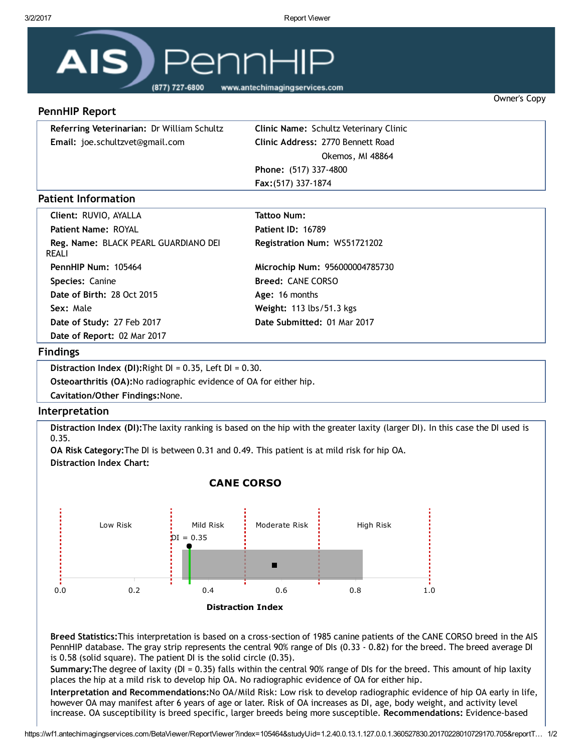Owner's Copy



# PennHIP Report

| Referring Veterinarian: Dr William Schultz | <b>Clinic Name: Schultz Veterinary Clinic</b> |
|--------------------------------------------|-----------------------------------------------|
| <b>Email:</b> joe.schultzvet@gmail.com     | Clinic Address: 2770 Bennett Road             |
|                                            | Okemos, MI 48864                              |
|                                            | Phone: (517) 337-4800                         |
|                                            | <b>Fax:</b> (517) 337-1874                    |

# Patient Information

| Client: RUVIO, AYALLA                         | Tattoo Num:                     |
|-----------------------------------------------|---------------------------------|
| <b>Patient Name: ROYAL</b>                    | <b>Patient ID: 16789</b>        |
| Reg. Name: BLACK PEARL GUARDIANO DEI<br>REALI | Registration Num: WS51721202    |
| PennHIP Num: 105464                           | Microchip Num: 956000004785730  |
| Species: Canine                               | <b>Breed: CANE CORSO</b>        |
| <b>Date of Birth: 28 Oct 2015</b>             | Age: 16 months                  |
| Sex: Male                                     | <b>Weight: 113 lbs/51.3 kgs</b> |
| Date of Study: 27 Feb 2017                    | Date Submitted: 01 Mar 2017     |
| Date of Report: 02 Mar 2017                   |                                 |
|                                               |                                 |

### Findings

Distraction Index (DI): Right  $DI = 0.35$ , Left  $DI = 0.30$ . Osteoarthritis (OA):No radiographic evidence of OA for either hip. Cavitation/Other Findings:None.

#### Interpretation

Distraction Index (DI):The laxity ranking is based on the hip with the greater laxity (larger DI). In this case the DI used is 0.35.

OA Risk Category:The DI is between 0.31 and 0.49. This patient is at mild risk for hip OA. Distraction Index Chart:



### CANE CORSO

Breed Statistics:This interpretation is based on a cross‐section of 1985 canine patients of the CANE CORSO breed in the AIS PennHIP database. The gray strip represents the central 90% range of DIs (0.33 ‐ 0.82) for the breed. The breed average DI is 0.58 (solid square). The patient DI is the solid circle (0.35).

Summary:The degree of laxity (DI = 0.35) falls within the central 90% range of DIs for the breed. This amount of hip laxity places the hip at a mild risk to develop hip OA. No radiographic evidence of OA for either hip.

Interpretation and Recommendations:No OA/Mild Risk: Low risk to develop radiographic evidence of hip OA early in life, however OA may manifest after 6 years of age or later. Risk of OA increases as DI, age, body weight, and activity level increase. OA susceptibility is breed specific, larger breeds being more susceptible. Recommendations: Evidence‐based